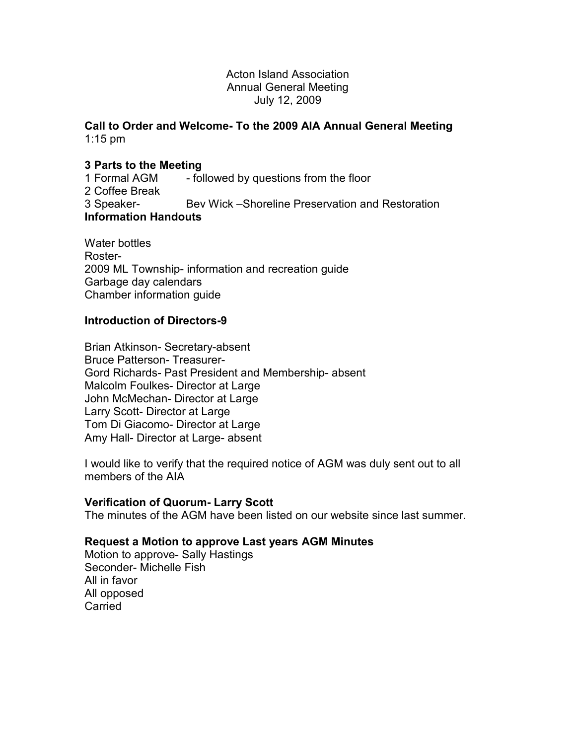#### Acton Island Association Annual General Meeting July 12, 2009

#### **Call to Order and Welcome- To the 2009 AIA Annual General Meeting**  1:15 pm

# **3 Parts to the Meeting**

1 Formal AGM - followed by questions from the floor 2 Coffee Break 3 Speaker- Bev Wick –Shoreline Preservation and Restoration **Information Handouts** 

Water bottles Roster-2009 ML Township- information and recreation guide Garbage day calendars Chamber information guide

# **Introduction of Directors-9**

Brian Atkinson- Secretary-absent Bruce Patterson- Treasurer-Gord Richards- Past President and Membership- absent Malcolm Foulkes- Director at Large John McMechan- Director at Large Larry Scott- Director at Large Tom Di Giacomo- Director at Large Amy Hall- Director at Large- absent

I would like to verify that the required notice of AGM was duly sent out to all members of the AIA

# **Verification of Quorum- Larry Scott**

The minutes of the AGM have been listed on our website since last summer.

# **Request a Motion to approve Last years AGM Minutes**

Motion to approve- Sally Hastings Seconder- Michelle Fish All in favor All opposed **Carried**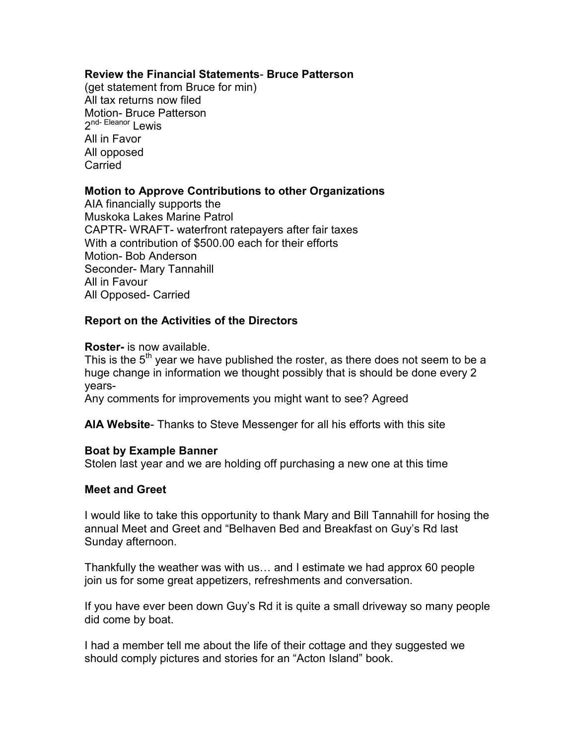# **Review the Financial Statements**- **Bruce Patterson**

(get statement from Bruce for min) All tax returns now filed Motion- Bruce Patterson 2<sup>nd- Eleanor</sup> Lewis All in Favor All opposed Carried

# **Motion to Approve Contributions to other Organizations**

AIA financially supports the Muskoka Lakes Marine Patrol CAPTR- WRAFT- waterfront ratepayers after fair taxes With a contribution of \$500.00 each for their efforts Motion- Bob Anderson Seconder- Mary Tannahill All in Favour All Opposed- Carried

# **Report on the Activities of the Directors**

#### **Roster-** is now available.

This is the  $5<sup>th</sup>$  year we have published the roster, as there does not seem to be a huge change in information we thought possibly that is should be done every 2 years-

Any comments for improvements you might want to see? Agreed

**AIA Website**- Thanks to Steve Messenger for all his efforts with this site

# **Boat by Example Banner**

Stolen last year and we are holding off purchasing a new one at this time

# **Meet and Greet**

I would like to take this opportunity to thank Mary and Bill Tannahill for hosing the annual Meet and Greet and "Belhaven Bed and Breakfast on Guy's Rd last Sunday afternoon.

Thankfully the weather was with us... and I estimate we had approx 60 people join us for some great appetizers, refreshments and conversation.

If you have ever been down Guy's Rd it is quite a small driveway so many people did come by boat.

I had a member tell me about the life of their cottage and they suggested we should comply pictures and stories for an "Acton Island" book.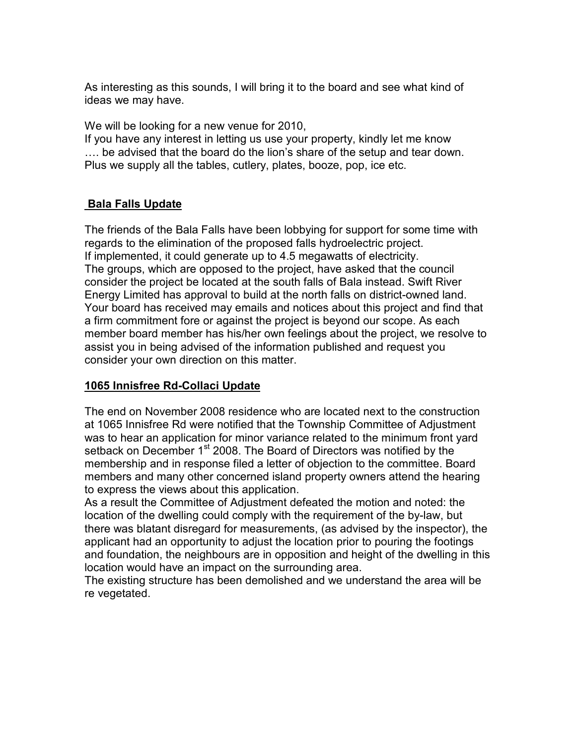As interesting as this sounds, I will bring it to the board and see what kind of ideas we may have.

We will be looking for a new venue for 2010,

If you have any interest in letting us use your property, kindly let me know .... be advised that the board do the lion's share of the setup and tear down. Plus we supply all the tables, cutlery, plates, booze, pop, ice etc.

# **Bala Falls Update**

The friends of the Bala Falls have been lobbying for support for some time with regards to the elimination of the proposed falls hydroelectric project. If implemented, it could generate up to 4.5 megawatts of electricity. The groups, which are opposed to the project, have asked that the council consider the project be located at the south falls of Bala instead. Swift River Energy Limited has approval to build at the north falls on district-owned land. Your board has received may emails and notices about this project and find that a firm commitment fore or against the project is beyond our scope. As each member board member has his/her own feelings about the project, we resolve to assist you in being advised of the information published and request you consider your own direction on this matter.

# **1065 Innisfree Rd-Collaci Update**

The end on November 2008 residence who are located next to the construction at 1065 Innisfree Rd were notified that the Township Committee of Adjustment was to hear an application for minor variance related to the minimum front yard setback on December 1<sup>st</sup> 2008. The Board of Directors was notified by the membership and in response filed a letter of objection to the committee. Board members and many other concerned island property owners attend the hearing to express the views about this application.

As a result the Committee of Adjustment defeated the motion and noted: the location of the dwelling could comply with the requirement of the by-law, but there was blatant disregard for measurements, (as advised by the inspector), the applicant had an opportunity to adjust the location prior to pouring the footings and foundation, the neighbours are in opposition and height of the dwelling in this location would have an impact on the surrounding area.

The existing structure has been demolished and we understand the area will be re vegetated.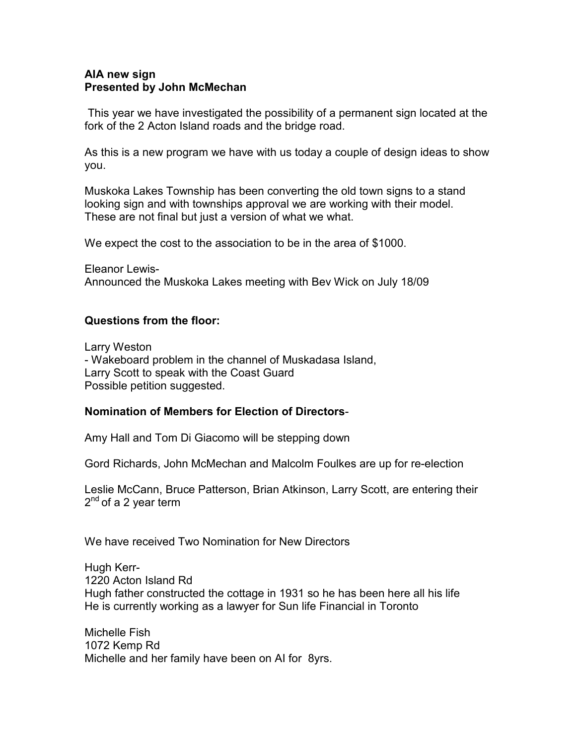#### **AIA new sign Presented by John McMechan**

 This year we have investigated the possibility of a permanent sign located at the fork of the 2 Acton Island roads and the bridge road.

As this is a new program we have with us today a couple of design ideas to show you.

Muskoka Lakes Township has been converting the old town signs to a stand looking sign and with townships approval we are working with their model. These are not final but just a version of what we what.

We expect the cost to the association to be in the area of \$1000.

Eleanor Lewis-Announced the Muskoka Lakes meeting with Bev Wick on July 18/09

# **Questions from the floor:**

Larry Weston - Wakeboard problem in the channel of Muskadasa Island, Larry Scott to speak with the Coast Guard Possible petition suggested.

# **Nomination of Members for Election of Directors**-

Amy Hall and Tom Di Giacomo will be stepping down

Gord Richards, John McMechan and Malcolm Foulkes are up for re-election

Leslie McCann, Bruce Patterson, Brian Atkinson, Larry Scott, are entering their 2<sup>nd</sup> of a 2 year term

We have received Two Nomination for New Directors

Hugh Kerr-1220 Acton Island Rd Hugh father constructed the cottage in 1931 so he has been here all his life He is currently working as a lawyer for Sun life Financial in Toronto

Michelle Fish 1072 Kemp Rd Michelle and her family have been on AI for 8yrs.